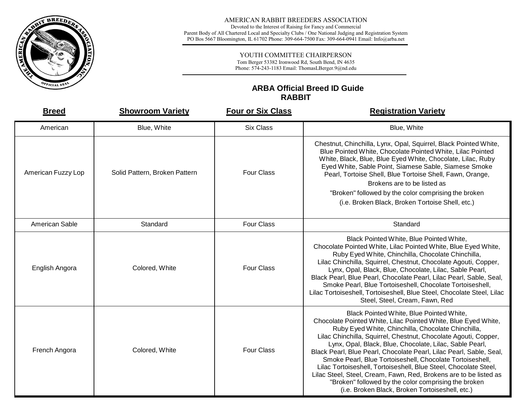

#### AMERICAN RABBIT BREEDERS ASSOCIATION

Devoted to the Interest of Raising for Fancy and Commercial Parent Body of All Chartered Local and Specialty Clubs / One National Judging and Registration System PO Bos 5667 Bloomington, IL 61702 Phone: 309-664-7500 Fax: 309-664-0941 Email: Info@arba.net

### YOUTH COMMITTEE CHAIRPERSON

Tom Berger 53382 Ironwood Rd, South Bend, IN 4635 Phone: 574-243-1183 Email: ThomasLBerger.9@nd.edu

## **ARBA Official Breed ID Guide RABBIT**

| <b>Breed</b>       | <b>Showroom Variety</b>       | <b>Four or Six Class</b> | <b>Registration Variety</b>                                                                                                                                                                                                                                                                                                                                                                                                                                                                                                                                                                                                                                                            |
|--------------------|-------------------------------|--------------------------|----------------------------------------------------------------------------------------------------------------------------------------------------------------------------------------------------------------------------------------------------------------------------------------------------------------------------------------------------------------------------------------------------------------------------------------------------------------------------------------------------------------------------------------------------------------------------------------------------------------------------------------------------------------------------------------|
| American           | Blue, White                   | <b>Six Class</b>         | Blue, White                                                                                                                                                                                                                                                                                                                                                                                                                                                                                                                                                                                                                                                                            |
| American Fuzzy Lop | Solid Pattern, Broken Pattern | <b>Four Class</b>        | Chestnut, Chinchilla, Lynx, Opal, Squirrel, Black Pointed White,<br>Blue Pointed White, Chocolate Pointed White, Lilac Pointed<br>White, Black, Blue, Blue Eyed White, Chocolate, Lilac, Ruby<br>Eyed White, Sable Point, Siamese Sable, Siamese Smoke<br>Pearl, Tortoise Shell, Blue Tortoise Shell, Fawn, Orange,<br>Brokens are to be listed as<br>"Broken" followed by the color comprising the broken<br>(i.e. Broken Black, Broken Tortoise Shell, etc.)                                                                                                                                                                                                                         |
| American Sable     | Standard                      | <b>Four Class</b>        | Standard                                                                                                                                                                                                                                                                                                                                                                                                                                                                                                                                                                                                                                                                               |
| English Angora     | Colored, White                | <b>Four Class</b>        | Black Pointed White, Blue Pointed White,<br>Chocolate Pointed White, Lilac Pointed White, Blue Eyed White,<br>Ruby Eyed White, Chinchilla, Chocolate Chinchilla,<br>Lilac Chinchilla, Squirrel, Chestnut, Chocolate Agouti, Copper,<br>Lynx, Opal, Black, Blue, Chocolate, Lilac, Sable Pearl,<br>Black Pearl, Blue Pearl, Chocolate Pearl, Lilac Pearl, Sable, Seal,<br>Smoke Pearl, Blue Tortoiseshell, Chocolate Tortoiseshell,<br>Lilac Tortoiseshell, Tortoiseshell, Blue Steel, Chocolate Steel, Lilac<br>Steel, Steel, Cream, Fawn, Red                                                                                                                                         |
| French Angora      | Colored, White                | <b>Four Class</b>        | Black Pointed White, Blue Pointed White,<br>Chocolate Pointed White, Lilac Pointed White, Blue Eyed White,<br>Ruby Eyed White, Chinchilla, Chocolate Chinchilla,<br>Lilac Chinchilla, Squirrel, Chestnut, Chocolate Agouti, Copper,<br>Lynx, Opal, Black, Blue, Chocolate, Lilac, Sable Pearl,<br>Black Pearl, Blue Pearl, Chocolate Pearl, Lilac Pearl, Sable, Seal,<br>Smoke Pearl, Blue Tortoiseshell, Chocolate Tortoiseshell,<br>Lilac Tortoiseshell, Tortoiseshell, Blue Steel, Chocolate Steel,<br>Lilac Steel, Steel, Cream, Fawn, Red, Brokens are to be listed as<br>"Broken" followed by the color comprising the broken<br>(i.e. Broken Black, Broken Tortoiseshell, etc.) |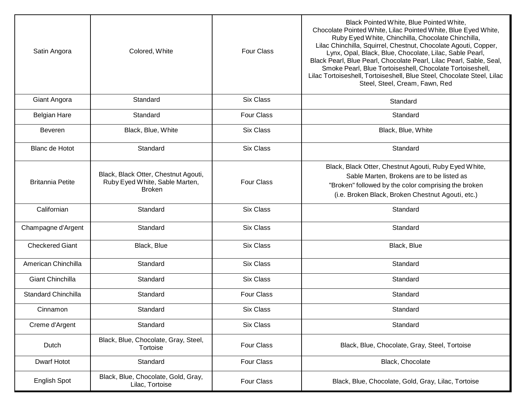| Satin Angora               | Colored, White                                                                          | <b>Four Class</b> | Black Pointed White, Blue Pointed White,<br>Chocolate Pointed White, Lilac Pointed White, Blue Eyed White,<br>Ruby Eyed White, Chinchilla, Chocolate Chinchilla,<br>Lilac Chinchilla, Squirrel, Chestnut, Chocolate Agouti, Copper,<br>Lynx, Opal, Black, Blue, Chocolate, Lilac, Sable Pearl,<br>Black Pearl, Blue Pearl, Chocolate Pearl, Lilac Pearl, Sable, Seal,<br>Smoke Pearl, Blue Tortoiseshell, Chocolate Tortoiseshell,<br>Lilac Tortoiseshell, Tortoiseshell, Blue Steel, Chocolate Steel, Lilac<br>Steel, Steel, Cream, Fawn, Red |
|----------------------------|-----------------------------------------------------------------------------------------|-------------------|------------------------------------------------------------------------------------------------------------------------------------------------------------------------------------------------------------------------------------------------------------------------------------------------------------------------------------------------------------------------------------------------------------------------------------------------------------------------------------------------------------------------------------------------|
| Giant Angora               | Standard                                                                                | <b>Six Class</b>  | Standard                                                                                                                                                                                                                                                                                                                                                                                                                                                                                                                                       |
| <b>Belgian Hare</b>        | Standard                                                                                | <b>Four Class</b> | Standard                                                                                                                                                                                                                                                                                                                                                                                                                                                                                                                                       |
| <b>Beveren</b>             | Black, Blue, White                                                                      | <b>Six Class</b>  | Black, Blue, White                                                                                                                                                                                                                                                                                                                                                                                                                                                                                                                             |
| <b>Blanc de Hotot</b>      | Standard                                                                                | <b>Six Class</b>  | Standard                                                                                                                                                                                                                                                                                                                                                                                                                                                                                                                                       |
| <b>Britannia Petite</b>    | Black, Black Otter, Chestnut Agouti,<br>Ruby Eyed White, Sable Marten,<br><b>Broken</b> | <b>Four Class</b> | Black, Black Otter, Chestnut Agouti, Ruby Eyed White,<br>Sable Marten, Brokens are to be listed as<br>"Broken" followed by the color comprising the broken<br>(i.e. Broken Black, Broken Chestnut Agouti, etc.)                                                                                                                                                                                                                                                                                                                                |
| Californian                | Standard                                                                                | <b>Six Class</b>  | Standard                                                                                                                                                                                                                                                                                                                                                                                                                                                                                                                                       |
| Champagne d'Argent         | Standard                                                                                | <b>Six Class</b>  | Standard                                                                                                                                                                                                                                                                                                                                                                                                                                                                                                                                       |
| <b>Checkered Giant</b>     | Black, Blue                                                                             | <b>Six Class</b>  | Black, Blue                                                                                                                                                                                                                                                                                                                                                                                                                                                                                                                                    |
| American Chinchilla        | Standard                                                                                | <b>Six Class</b>  | Standard                                                                                                                                                                                                                                                                                                                                                                                                                                                                                                                                       |
| Giant Chinchilla           | Standard                                                                                | <b>Six Class</b>  | Standard                                                                                                                                                                                                                                                                                                                                                                                                                                                                                                                                       |
| <b>Standard Chinchilla</b> | Standard                                                                                | <b>Four Class</b> | Standard                                                                                                                                                                                                                                                                                                                                                                                                                                                                                                                                       |
| Cinnamon                   | Standard                                                                                | <b>Six Class</b>  | Standard                                                                                                                                                                                                                                                                                                                                                                                                                                                                                                                                       |
| Creme d'Argent             | Standard                                                                                | Six Class         | Standard                                                                                                                                                                                                                                                                                                                                                                                                                                                                                                                                       |
| Dutch                      | Black, Blue, Chocolate, Gray, Steel,<br>Tortoise                                        | Four Class        | Black, Blue, Chocolate, Gray, Steel, Tortoise                                                                                                                                                                                                                                                                                                                                                                                                                                                                                                  |
| Dwarf Hotot                | Standard                                                                                | Four Class        | Black, Chocolate                                                                                                                                                                                                                                                                                                                                                                                                                                                                                                                               |
| English Spot               | Black, Blue, Chocolate, Gold, Gray,<br>Lilac, Tortoise                                  | Four Class        | Black, Blue, Chocolate, Gold, Gray, Lilac, Tortoise                                                                                                                                                                                                                                                                                                                                                                                                                                                                                            |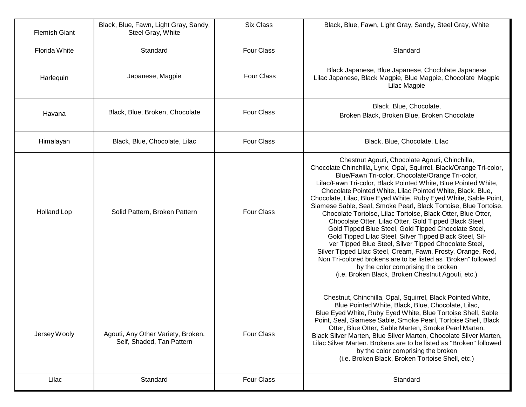| <b>Flemish Giant</b> | Black, Blue, Fawn, Light Gray, Sandy,<br>Steel Gray, White      | <b>Six Class</b>  | Black, Blue, Fawn, Light Gray, Sandy, Steel Gray, White                                                                                                                                                                                                                                                                                                                                                                                                                                                                                                                                                                                                                                                                                                                                                                                                                                                                                                                              |
|----------------------|-----------------------------------------------------------------|-------------------|--------------------------------------------------------------------------------------------------------------------------------------------------------------------------------------------------------------------------------------------------------------------------------------------------------------------------------------------------------------------------------------------------------------------------------------------------------------------------------------------------------------------------------------------------------------------------------------------------------------------------------------------------------------------------------------------------------------------------------------------------------------------------------------------------------------------------------------------------------------------------------------------------------------------------------------------------------------------------------------|
| Florida White        | Standard                                                        | <b>Four Class</b> | Standard                                                                                                                                                                                                                                                                                                                                                                                                                                                                                                                                                                                                                                                                                                                                                                                                                                                                                                                                                                             |
| Harlequin            | Japanese, Magpie                                                | <b>Four Class</b> | Black Japanese, Blue Japanese, Choclolate Japanese<br>Lilac Japanese, Black Magpie, Blue Magpie, Chocolate Magpie<br>Lilac Magpie                                                                                                                                                                                                                                                                                                                                                                                                                                                                                                                                                                                                                                                                                                                                                                                                                                                    |
| Havana               | Black, Blue, Broken, Chocolate                                  | <b>Four Class</b> | Black, Blue, Chocolate,<br>Broken Black, Broken Blue, Broken Chocolate                                                                                                                                                                                                                                                                                                                                                                                                                                                                                                                                                                                                                                                                                                                                                                                                                                                                                                               |
| Himalayan            | Black, Blue, Chocolate, Lilac                                   | <b>Four Class</b> | Black, Blue, Chocolate, Lilac                                                                                                                                                                                                                                                                                                                                                                                                                                                                                                                                                                                                                                                                                                                                                                                                                                                                                                                                                        |
| <b>Holland Lop</b>   | Solid Pattern, Broken Pattern                                   | <b>Four Class</b> | Chestnut Agouti, Chocolate Agouti, Chinchilla,<br>Chocolate Chinchilla, Lynx, Opal, Squirrel, Black/Orange Tri-color,<br>Blue/Fawn Tri-color, Chocolate/Orange Tri-color,<br>Lilac/Fawn Tri-color, Black Pointed White, Blue Pointed White,<br>Chocolate Pointed White, Lilac Pointed White, Black, Blue,<br>Chocolate, Lilac, Blue Eyed White, Ruby Eyed White, Sable Point,<br>Siamese Sable, Seal, Smoke Pearl, Black Tortoise, Blue Tortoise,<br>Chocolate Tortoise, Lilac Tortoise, Black Otter, Blue Otter,<br>Chocolate Otter, Lilac Otter, Gold Tipped Black Steel,<br>Gold Tipped Blue Steel, Gold Tipped Chocolate Steel,<br>Gold Tipped Lilac Steel, Silver Tipped Black Steel, Sil-<br>ver Tipped Blue Steel, Silver Tipped Chocolate Steel,<br>Silver Tipped Lilac Steel, Cream, Fawn, Frosty, Orange, Red,<br>Non Tri-colored brokens are to be listed as "Broken" followed<br>by the color comprising the broken<br>(i.e. Broken Black, Broken Chestnut Agouti, etc.) |
| Jersey Wooly         | Agouti, Any Other Variety, Broken,<br>Self, Shaded, Tan Pattern | <b>Four Class</b> | Chestnut, Chinchilla, Opal, Squirrel, Black Pointed White,<br>Blue Pointed White, Black, Blue, Chocolate, Lilac,<br>Blue Eyed White, Ruby Eyed White, Blue Tortoise Shell, Sable<br>Point, Seal, Siamese Sable, Smoke Pearl, Tortoise Shell, Black<br>Otter, Blue Otter, Sable Marten, Smoke Pearl Marten,<br>Black Silver Marten, Blue Silver Marten, Chocolate Silver Marten,<br>Lilac Silver Marten. Brokens are to be listed as "Broken" followed<br>by the color comprising the broken<br>(i.e. Broken Black, Broken Tortoise Shell, etc.)                                                                                                                                                                                                                                                                                                                                                                                                                                      |
| Lilac                | Standard                                                        | <b>Four Class</b> | Standard                                                                                                                                                                                                                                                                                                                                                                                                                                                                                                                                                                                                                                                                                                                                                                                                                                                                                                                                                                             |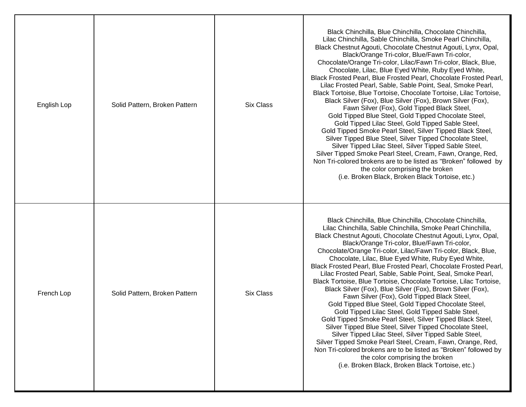| English Lop | Solid Pattern, Broken Pattern | Six Class | Black Chinchilla, Blue Chinchilla, Chocolate Chinchilla,<br>Lilac Chinchilla, Sable Chinchilla, Smoke Pearl Chinchilla,<br>Black Chestnut Agouti, Chocolate Chestnut Agouti, Lynx, Opal,<br>Black/Orange Tri-color, Blue/Fawn Tri-color,<br>Chocolate/Orange Tri-color, Lilac/Fawn Tri-color, Black, Blue,<br>Chocolate, Lilac, Blue Eyed White, Ruby Eyed White,<br>Black Frosted Pearl, Blue Frosted Pearl, Chocolate Frosted Pearl,<br>Lilac Frosted Pearl, Sable, Sable Point, Seal, Smoke Pearl,<br>Black Tortoise, Blue Tortoise, Chocolate Tortoise, Lilac Tortoise,<br>Black Silver (Fox), Blue Silver (Fox), Brown Silver (Fox),<br>Fawn Silver (Fox), Gold Tipped Black Steel,<br>Gold Tipped Blue Steel, Gold Tipped Chocolate Steel,<br>Gold Tipped Lilac Steel, Gold Tipped Sable Steel,<br>Gold Tipped Smoke Pearl Steel, Silver Tipped Black Steel,<br>Silver Tipped Blue Steel, Silver Tipped Chocolate Steel,<br>Silver Tipped Lilac Steel, Silver Tipped Sable Steel,<br>Silver Tipped Smoke Pearl Steel, Cream, Fawn, Orange, Red,<br>Non Tri-colored brokens are to be listed as "Broken" followed by<br>the color comprising the broken<br>(i.e. Broken Black, Broken Black Tortoise, etc.) |
|-------------|-------------------------------|-----------|------------------------------------------------------------------------------------------------------------------------------------------------------------------------------------------------------------------------------------------------------------------------------------------------------------------------------------------------------------------------------------------------------------------------------------------------------------------------------------------------------------------------------------------------------------------------------------------------------------------------------------------------------------------------------------------------------------------------------------------------------------------------------------------------------------------------------------------------------------------------------------------------------------------------------------------------------------------------------------------------------------------------------------------------------------------------------------------------------------------------------------------------------------------------------------------------------------------|
| French Lop  | Solid Pattern, Broken Pattern | Six Class | Black Chinchilla, Blue Chinchilla, Chocolate Chinchilla,<br>Lilac Chinchilla, Sable Chinchilla, Smoke Pearl Chinchilla,<br>Black Chestnut Agouti, Chocolate Chestnut Agouti, Lynx, Opal,<br>Black/Orange Tri-color, Blue/Fawn Tri-color,<br>Chocolate/Orange Tri-color, Lilac/Fawn Tri-color, Black, Blue,<br>Chocolate, Lilac, Blue Eyed White, Ruby Eyed White,<br>Black Frosted Pearl, Blue Frosted Pearl, Chocolate Frosted Pearl,<br>Lilac Frosted Pearl, Sable, Sable Point, Seal, Smoke Pearl,<br>Black Tortoise, Blue Tortoise, Chocolate Tortoise, Lilac Tortoise,<br>Black Silver (Fox), Blue Silver (Fox), Brown Silver (Fox),<br>Fawn Silver (Fox), Gold Tipped Black Steel,<br>Gold Tipped Blue Steel, Gold Tipped Chocolate Steel,<br>Gold Tipped Lilac Steel, Gold Tipped Sable Steel,<br>Gold Tipped Smoke Pearl Steel, Silver Tipped Black Steel,<br>Silver Tipped Blue Steel, Silver Tipped Chocolate Steel,<br>Silver Tipped Lilac Steel, Silver Tipped Sable Steel,<br>Silver Tipped Smoke Pearl Steel, Cream, Fawn, Orange, Red,<br>Non Tri-colored brokens are to be listed as "Broken" followed by<br>the color comprising the broken<br>(i.e. Broken Black, Broken Black Tortoise, etc.) |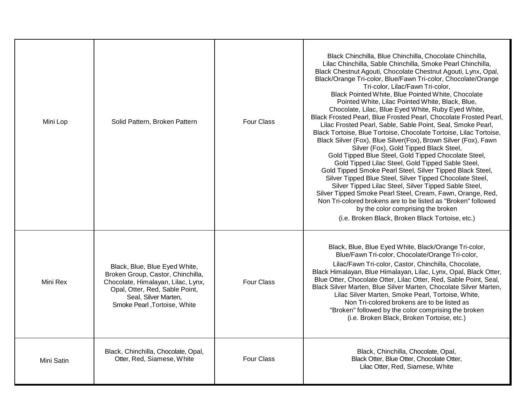| Mini Lop   | Solid Pattern, Broken Pattern                                                                                                                                                                       | <b>Four Class</b> | Black Chinchilla, Blue Chinchilla, Chocolate Chinchilla,<br>Lilac Chinchilla, Sable Chinchilla, Smoke Pearl Chinchilla,<br>Black Chestnut Agouti, Chocolate Chestnut Agouti, Lynx, Opal,<br>Black/Orange Tri-color, Blue/Fawn Tri-color, Chocolate/Orange<br>Tri-color, Lilac/Fawn Tri-color,<br>Black Pointed White, Blue Pointed White, Chocolate<br>Pointed White, Lilac Pointed White, Black, Blue,<br>Chocolate, Lilac, Blue Eyed White, Ruby Eyed White,<br>Black Frosted Pearl, Blue Frosted Pearl, Chocolate Frosted Pearl,<br>Lilac Frosted Pearl, Sable, Sable Point, Seal, Smoke Pearl,<br>Black Tortoise, Blue Tortoise, Chocolate Tortoise, Lilac Tortoise,<br>Black Silver (Fox), Blue Silver(Fox), Brown Silver (Fox), Fawn<br>Silver (Fox), Gold Tipped Black Steel,<br>Gold Tipped Blue Steel, Gold Tipped Chocolate Steel,<br>Gold Tipped Lilac Steel, Gold Tipped Sable Steel,<br>Gold Tipped Smoke Pearl Steel, Silver Tipped Black Steel,<br>Silver Tipped Blue Steel, Silver Tipped Chocolate Steel,<br>Silver Tipped Lilac Steel, Silver Tipped Sable Steel,<br>Silver Tipped Smoke Pearl Steel, Cream, Fawn, Orange, Red,<br>Non Tri-colored brokens are to be listed as "Broken" followed<br>by the color comprising the broken<br>(i.e. Broken Black, Broken Black Tortoise, etc.) |
|------------|-----------------------------------------------------------------------------------------------------------------------------------------------------------------------------------------------------|-------------------|--------------------------------------------------------------------------------------------------------------------------------------------------------------------------------------------------------------------------------------------------------------------------------------------------------------------------------------------------------------------------------------------------------------------------------------------------------------------------------------------------------------------------------------------------------------------------------------------------------------------------------------------------------------------------------------------------------------------------------------------------------------------------------------------------------------------------------------------------------------------------------------------------------------------------------------------------------------------------------------------------------------------------------------------------------------------------------------------------------------------------------------------------------------------------------------------------------------------------------------------------------------------------------------------------------------|
| Mini Rex   | Black, Blue, Blue Eyed White,<br>Broken Group, Castor, Chinchilla,<br>Chocolate, Himalayan, Lilac, Lynx,<br>Opal, Otter, Red, Sable Point,<br>Seal, Silver Marten,<br>Smoke Pearl , Tortoise, White | <b>Four Class</b> | Black, Blue, Blue Eyed White, Black/Orange Tri-color,<br>Blue/Fawn Tri-color, Chocolate/Orange Tri-color,<br>Lilac/Fawn Tri-color, Castor, Chinchilla, Chocolate,<br>Black Himalayan, Blue Himalayan, Lilac, Lynx, Opal, Black Otter,<br>Blue Otter, Chocolate Otter, Lilac Otter, Red, Sable Point, Seal,<br>Black Silver Marten, Blue Silver Marten, Chocolate Silver Marten,<br>Lilac Silver Marten, Smoke Pearl, Tortoise, White,<br>Non Tri-colored brokens are to be listed as<br>"Broken" followed by the color comprising the broken<br>(i.e. Broken Black, Broken Tortoise, etc.)                                                                                                                                                                                                                                                                                                                                                                                                                                                                                                                                                                                                                                                                                                                   |
| Mini Satin | Black, Chinchilla, Chocolate, Opal,<br>Otter, Red, Siamese, White                                                                                                                                   | Four Class        | Black, Chinchilla, Chocolate, Opal,<br>Black Otter, Blue Otter, Chocolate Otter,<br>Lilac Otter, Red, Siamese, White                                                                                                                                                                                                                                                                                                                                                                                                                                                                                                                                                                                                                                                                                                                                                                                                                                                                                                                                                                                                                                                                                                                                                                                         |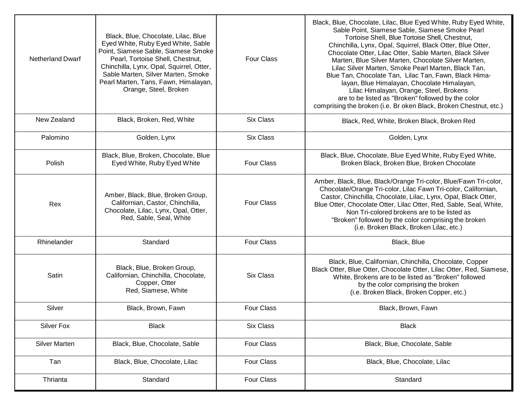| <b>Netherland Dwarf</b> | Black, Blue, Chocolate, Lilac, Blue<br>Eyed White, Ruby Eyed White, Sable<br>Point, Siamese Sable, Siamese Smoke<br>Pearl, Tortoise Shell, Chestnut,<br>Chinchilla, Lynx, Opal, Squirrel, Otter,<br>Sable Marten, Silver Marten, Smoke<br>Pearl Marten, Tans, Fawn, Himalayan,<br>Orange, Steel, Broken | <b>Four Class</b> | Black, Blue, Chocolate, Lilac, Blue Eyed White, Ruby Eyed White,<br>Sable Point, Siamese Sable, Siamese Smoke Pearl<br>Tortoise Shell, Blue Tortoise Shell, Chestnut,<br>Chinchilla, Lynx, Opal, Squirrel, Black Otter, Blue Otter,<br>Chocolate Otter, Lilac Otter, Sable Marten, Black Silver<br>Marten, Blue Silver Marten, Chocolate Silver Marten,<br>Lilac Silver Marten, Smoke Pearl Marten, Black Tan,<br>Blue Tan, Chocolate Tan, Lilac Tan, Fawn, Black Hima-<br>layan, Blue Himalayan, Chocolate Himalayan,<br>Lilac Himalayan, Orange, Steel, Brokens<br>are to be listed as "Broken" followed by the color<br>comprising the broken (i.e. Br oken Black, Broken Chestnut, etc.) |
|-------------------------|---------------------------------------------------------------------------------------------------------------------------------------------------------------------------------------------------------------------------------------------------------------------------------------------------------|-------------------|----------------------------------------------------------------------------------------------------------------------------------------------------------------------------------------------------------------------------------------------------------------------------------------------------------------------------------------------------------------------------------------------------------------------------------------------------------------------------------------------------------------------------------------------------------------------------------------------------------------------------------------------------------------------------------------------|
| New Zealand             | Black, Broken, Red, White                                                                                                                                                                                                                                                                               | <b>Six Class</b>  | Black, Red, White, Broken Black, Broken Red                                                                                                                                                                                                                                                                                                                                                                                                                                                                                                                                                                                                                                                  |
| Palomino                | Golden, Lynx                                                                                                                                                                                                                                                                                            | <b>Six Class</b>  | Golden, Lynx                                                                                                                                                                                                                                                                                                                                                                                                                                                                                                                                                                                                                                                                                 |
| Polish                  | Black, Blue, Broken, Chocolate, Blue<br>Eyed White, Ruby Eyed White                                                                                                                                                                                                                                     | <b>Four Class</b> | Black, Blue, Chocolate, Blue Eyed White, Ruby Eyed White,<br>Broken Black, Broken Blue, Broken Chocolate                                                                                                                                                                                                                                                                                                                                                                                                                                                                                                                                                                                     |
| Rex                     | Amber, Black, Blue, Broken Group,<br>Californian, Castor, Chinchilla,<br>Chocolate, Lilac, Lynx, Opal, Otter,<br>Red, Sable, Seal, White                                                                                                                                                                | <b>Four Class</b> | Amber, Black, Blue, Black/Orange Tri-color, Blue/Fawn Tri-color,<br>Chocolate/Orange Tri-color, Lilac Fawn Tri-color, Californian,<br>Castor, Chinchilla, Chocolate, Lilac, Lynx, Opal, Black Otter,<br>Blue Otter, Chocolate Otter, Lilac Otter, Red, Sable, Seal, White,<br>Non Tri-colored brokens are to be listed as<br>"Broken" followed by the color comprising the broken<br>(i.e. Broken Black, Broken Lilac, etc.)                                                                                                                                                                                                                                                                 |
| Rhinelander             | Standard                                                                                                                                                                                                                                                                                                | <b>Four Class</b> | Black, Blue                                                                                                                                                                                                                                                                                                                                                                                                                                                                                                                                                                                                                                                                                  |
| Satin                   | Black, Blue, Broken Group,<br>Californian, Chinchilla, Chocolate,<br>Copper, Otter<br>Red, Siamese, White                                                                                                                                                                                               | <b>Six Class</b>  | Black, Blue, Californian, Chinchilla, Chocolate, Copper<br>Black Otter, Blue Otter, Chocolate Otter, Lilac Otter, Red, Siamese,<br>White, Brokens are to be listed as "Broken" followed<br>by the color comprising the broken<br>(i.e. Broken Black, Broken Copper, etc.)                                                                                                                                                                                                                                                                                                                                                                                                                    |
| Silver                  | Black, Brown, Fawn                                                                                                                                                                                                                                                                                      | <b>Four Class</b> | Black, Brown, Fawn                                                                                                                                                                                                                                                                                                                                                                                                                                                                                                                                                                                                                                                                           |
| <b>Silver Fox</b>       | <b>Black</b>                                                                                                                                                                                                                                                                                            | <b>Six Class</b>  | <b>Black</b>                                                                                                                                                                                                                                                                                                                                                                                                                                                                                                                                                                                                                                                                                 |
| <b>Silver Marten</b>    | Black, Blue, Chocolate, Sable                                                                                                                                                                                                                                                                           | Four Class        | Black, Blue, Chocolate, Sable                                                                                                                                                                                                                                                                                                                                                                                                                                                                                                                                                                                                                                                                |
| Tan                     | Black, Blue, Chocolate, Lilac                                                                                                                                                                                                                                                                           | Four Class        | Black, Blue, Chocolate, Lilac                                                                                                                                                                                                                                                                                                                                                                                                                                                                                                                                                                                                                                                                |
| Thrianta                | Standard                                                                                                                                                                                                                                                                                                | <b>Four Class</b> | Standard                                                                                                                                                                                                                                                                                                                                                                                                                                                                                                                                                                                                                                                                                     |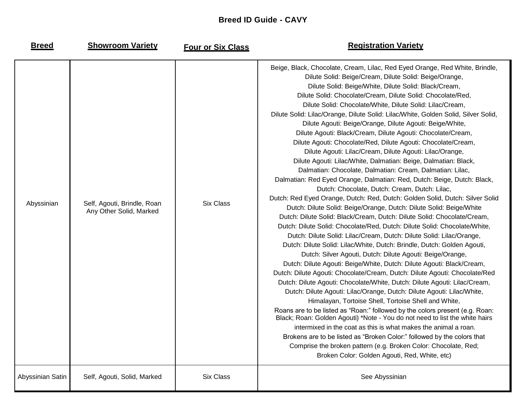## **Breed ID Guide - CAVY**

**Breed Showroom Variety**

Four or Six Class

# **Registration Variety**

| Abyssinian       | Self, Agouti, Brindle, Roan<br>Any Other Solid, Marked | <b>Six Class</b> | Beige, Black, Chocolate, Cream, Lilac, Red Eyed Orange, Red White, Brindle,<br>Dilute Solid: Beige/Cream, Dilute Solid: Beige/Orange,<br>Dilute Solid: Beige/White, Dilute Solid: Black/Cream,<br>Dilute Solid: Chocolate/Cream, Dilute Solid: Chocolate/Red,<br>Dilute Solid: Chocolate/White, Dilute Solid: Lilac/Cream,<br>Dilute Solid: Lilac/Orange, Dilute Solid: Lilac/White, Golden Solid, Silver Solid,<br>Dilute Agouti: Beige/Orange, Dilute Agouti: Beige/White,<br>Dilute Agouti: Black/Cream, Dilute Agouti: Chocolate/Cream,<br>Dilute Agouti: Chocolate/Red, Dilute Agouti: Chocolate/Cream,<br>Dilute Agouti: Lilac/Cream, Dilute Agouti: Lilac/Orange,<br>Dilute Agouti: Lilac/White, Dalmatian: Beige, Dalmatian: Black,<br>Dalmatian: Chocolate, Dalmatian: Cream, Dalmatian: Lilac,<br>Dalmatian: Red Eyed Orange, Dalmatian: Red, Dutch: Beige, Dutch: Black,<br>Dutch: Chocolate, Dutch: Cream, Dutch: Lilac,<br>Dutch: Red Eyed Orange, Dutch: Red, Dutch: Golden Solid, Dutch: Silver Solid<br>Dutch: Dilute Solid: Beige/Orange, Dutch: Dilute Solid: Beige/White<br>Dutch: Dilute Solid: Black/Cream, Dutch: Dilute Solid: Chocolate/Cream,<br>Dutch: Dilute Solid: Chocolate/Red, Dutch: Dilute Solid: Chocolate/White,<br>Dutch: Dilute Solid: Lilac/Cream, Dutch: Dilute Solid: Lilac/Orange,<br>Dutch: Dilute Solid: Lilac/White, Dutch: Brindle, Dutch: Golden Agouti,<br>Dutch: Silver Agouti, Dutch: Dilute Agouti: Beige/Orange,<br>Dutch: Dilute Agouti: Beige/White, Dutch: Dilute Agouti: Black/Cream,<br>Dutch: Dilute Agouti: Chocolate/Cream, Dutch: Dilute Agouti: Chocolate/Red<br>Dutch: Dilute Agouti: Chocolate/White, Dutch: Dilute Agouti: Lilac/Cream,<br>Dutch: Dilute Agouti: Lilac/Orange, Dutch: Dilute Agouti: Lilac/White,<br>Himalayan, Tortoise Shell, Tortoise Shell and White,<br>Roans are to be listed as "Roan:" followed by the colors present (e.g. Roan:<br>Black; Roan: Golden Agouti) *Note - You do not need to list the white hairs<br>intermixed in the coat as this is what makes the animal a roan.<br>Brokens are to be listed as "Broken Color:" followed by the colors that<br>Comprise the broken pattern (e.g. Broken Color: Chocolate, Red;<br>Broken Color: Golden Agouti, Red, White, etc) |
|------------------|--------------------------------------------------------|------------------|----------------------------------------------------------------------------------------------------------------------------------------------------------------------------------------------------------------------------------------------------------------------------------------------------------------------------------------------------------------------------------------------------------------------------------------------------------------------------------------------------------------------------------------------------------------------------------------------------------------------------------------------------------------------------------------------------------------------------------------------------------------------------------------------------------------------------------------------------------------------------------------------------------------------------------------------------------------------------------------------------------------------------------------------------------------------------------------------------------------------------------------------------------------------------------------------------------------------------------------------------------------------------------------------------------------------------------------------------------------------------------------------------------------------------------------------------------------------------------------------------------------------------------------------------------------------------------------------------------------------------------------------------------------------------------------------------------------------------------------------------------------------------------------------------------------------------------------------------------------------------------------------------------------------------------------------------------------------------------------------------------------------------------------------------------------------------------------------------------------------------------------------------------------------------------------------------------------------------------------------------------------------------|
| Abyssinian Satin | Self, Agouti, Solid, Marked                            | <b>Six Class</b> | See Abyssinian                                                                                                                                                                                                                                                                                                                                                                                                                                                                                                                                                                                                                                                                                                                                                                                                                                                                                                                                                                                                                                                                                                                                                                                                                                                                                                                                                                                                                                                                                                                                                                                                                                                                                                                                                                                                                                                                                                                                                                                                                                                                                                                                                                                                                                                             |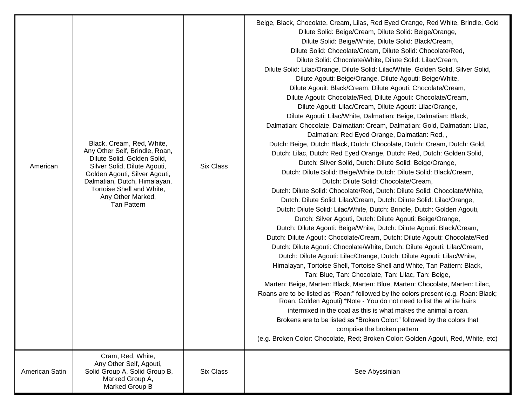| American       | Black, Cream, Red, White,<br>Any Other Self, Brindle, Roan,<br>Dilute Solid, Golden Solid,<br>Silver Solid, Dilute Agouti,<br>Golden Agouti, Silver Agouti,<br>Dalmatian, Dutch, Himalayan,<br>Tortoise Shell and White,<br>Any Other Marked,<br><b>Tan Pattern</b> | <b>Six Class</b> | Beige, Black, Chocolate, Cream, Lilas, Red Eyed Orange, Red White, Brindle, Gold<br>Dilute Solid: Beige/Cream, Dilute Solid: Beige/Orange,<br>Dilute Solid: Beige/White, Dilute Solid: Black/Cream,<br>Dilute Solid: Chocolate/Cream, Dilute Solid: Chocolate/Red,<br>Dilute Solid: Chocolate/White, Dilute Solid: Lilac/Cream,<br>Dilute Solid: Lilac/Orange, Dilute Solid: Lilac/White, Golden Solid, Silver Solid,<br>Dilute Agouti: Beige/Orange, Dilute Agouti: Beige/White,<br>Dilute Agouit: Black/Cream, Dilute Agouti: Chocolate/Cream,<br>Dilute Agouti: Chocolate/Red, Dilute Agouti: Chocolate/Cream,<br>Dilute Agouti: Lilac/Cream, Dilute Agouti: Lilac/Orange,<br>Dilute Agouti: Lilac/White, Dalmatian: Beige, Dalmatian: Black,<br>Dalmatian: Chocolate, Dalmatian: Cream, Dalmatian: Gold, Dalmatian: Lilac,<br>Dalmatian: Red Eyed Orange, Dalmatian: Red,,<br>Dutch: Beige, Dutch: Black, Dutch: Chocolate, Dutch: Cream, Dutch: Gold,<br>Dutch: Lilac, Dutch: Red Eyed Orange, Dutch: Red, Dutch: Golden Solid,<br>Dutch: Silver Solid, Dutch: Dilute Solid: Beige/Orange,<br>Dutch: Dilute Solid: Beige/White Dutch: Dilute Solid: Black/Cream,<br>Dutch: Dilute Solid: Chocolate/Cream,<br>Dutch: Dilute Solid: Chocolate/Red, Dutch: Dilute Solid: Chocolate/White,<br>Dutch: Dilute Solid: Lilac/Cream, Dutch: Dilute Solid: Lilac/Orange,<br>Dutch: Dilute Solid: Lilac/White, Dutch: Brindle, Dutch: Golden Agouti,<br>Dutch: Silver Agouti, Dutch: Dilute Agouti: Beige/Orange,<br>Dutch: Dilute Agouti: Beige/White, Dutch: Dilute Agouti: Black/Cream,<br>Dutch: Dilute Agouti: Chocolate/Cream, Dutch: Dilute Agouti: Chocolate/Red<br>Dutch: Dilute Agouti: Chocolate/White, Dutch: Dilute Agouti: Lilac/Cream,<br>Dutch: Dilute Agouti: Lilac/Orange, Dutch: Dilute Agouti: Lilac/White,<br>Himalayan, Tortoise Shell, Tortoise Shell and White, Tan Pattern: Black,<br>Tan: Blue, Tan: Chocolate, Tan: Lilac, Tan: Beige,<br>Marten: Beige, Marten: Black, Marten: Blue, Marten: Chocolate, Marten: Lilac,<br>Roans are to be listed as "Roan:" followed by the colors present (e.g. Roan: Black;<br>Roan: Golden Agouti) *Note - You do not need to list the white hairs<br>intermixed in the coat as this is what makes the animal a roan.<br>Brokens are to be listed as "Broken Color:" followed by the colors that<br>comprise the broken pattern<br>(e.g. Broken Color: Chocolate, Red; Broken Color: Golden Agouti, Red, White, etc) |
|----------------|---------------------------------------------------------------------------------------------------------------------------------------------------------------------------------------------------------------------------------------------------------------------|------------------|-------------------------------------------------------------------------------------------------------------------------------------------------------------------------------------------------------------------------------------------------------------------------------------------------------------------------------------------------------------------------------------------------------------------------------------------------------------------------------------------------------------------------------------------------------------------------------------------------------------------------------------------------------------------------------------------------------------------------------------------------------------------------------------------------------------------------------------------------------------------------------------------------------------------------------------------------------------------------------------------------------------------------------------------------------------------------------------------------------------------------------------------------------------------------------------------------------------------------------------------------------------------------------------------------------------------------------------------------------------------------------------------------------------------------------------------------------------------------------------------------------------------------------------------------------------------------------------------------------------------------------------------------------------------------------------------------------------------------------------------------------------------------------------------------------------------------------------------------------------------------------------------------------------------------------------------------------------------------------------------------------------------------------------------------------------------------------------------------------------------------------------------------------------------------------------------------------------------------------------------------------------------------------------------------------------------------------------------------------------------------------------------------------------------------------------------------------------------------------|
| American Satin | Cram, Red, White,<br>Any Other Self, Agouti,<br>Solid Group A, Solid Group B,<br>Marked Group A,<br>Marked Group B                                                                                                                                                  | Six Class        | See Abyssinian                                                                                                                                                                                                                                                                                                                                                                                                                                                                                                                                                                                                                                                                                                                                                                                                                                                                                                                                                                                                                                                                                                                                                                                                                                                                                                                                                                                                                                                                                                                                                                                                                                                                                                                                                                                                                                                                                                                                                                                                                                                                                                                                                                                                                                                                                                                                                                                                                                                                |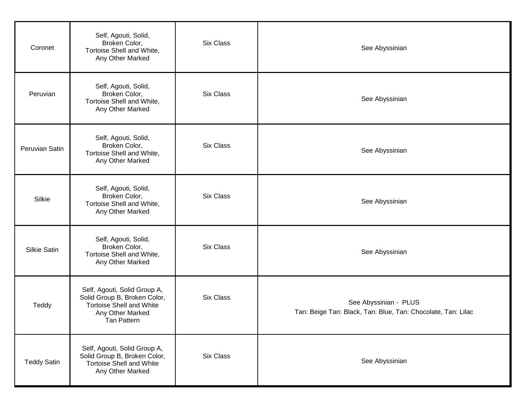| Coronet            | Self, Agouti, Solid,<br>Broken Color,<br>Tortoise Shell and White,<br>Any Other Marked                                             | Six Class | See Abyssinian                                                                        |
|--------------------|------------------------------------------------------------------------------------------------------------------------------------|-----------|---------------------------------------------------------------------------------------|
| Peruvian           | Self, Agouti, Solid,<br>Broken Color,<br>Tortoise Shell and White,<br>Any Other Marked                                             | Six Class | See Abyssinian                                                                        |
| Peruvian Satin     | Self, Agouti, Solid,<br>Broken Color,<br>Tortoise Shell and White,<br>Any Other Marked                                             | Six Class | See Abyssinian                                                                        |
| Silkie             | Self, Agouti, Solid,<br>Broken Color,<br>Tortoise Shell and White,<br>Any Other Marked                                             | Six Class | See Abyssinian                                                                        |
| Silkie Satin       | Self, Agouti, Solid,<br>Broken Color,<br>Tortoise Shell and White,<br>Any Other Marked                                             | Six Class | See Abyssinian                                                                        |
| Teddy              | Self, Agouti, Solid Group A,<br>Solid Group B, Broken Color,<br><b>Tortoise Shell and White</b><br>Any Other Marked<br>Tan Pattern | Six Class | See Abyssinian - PLUS<br>Tan: Beige Tan: Black, Tan: Blue, Tan: Chocolate, Tan: Lilac |
| <b>Teddy Satin</b> | Self, Agouti, Solid Group A,<br>Solid Group B, Broken Color,<br><b>Tortoise Shell and White</b><br>Any Other Marked                | Six Class | See Abyssinian                                                                        |